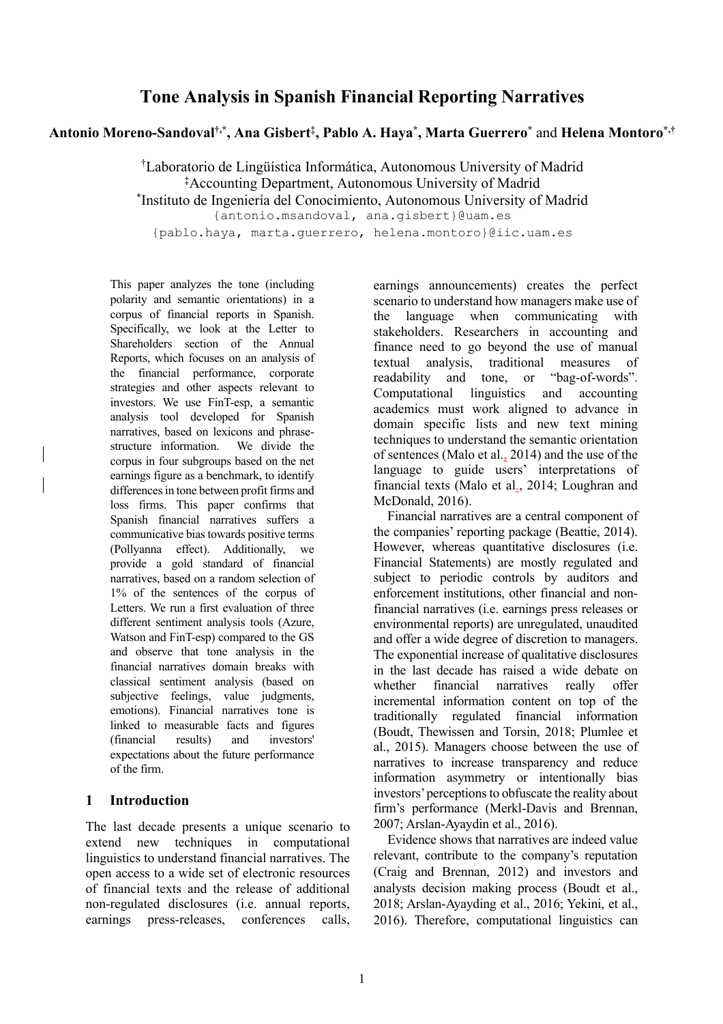# **Tone Analysis in Spanish Financial Reporting Narratives**

**Antonio Moreno-Sandoval†,\*, Ana Gisbert‡ , Pablo A. Haya\* , Marta Guerrero\*** and **Helena Montoro\*,†**

† Laboratorio de Lingüística Informática, Autonomous University of Madrid **‡** Accounting Department, Autonomous University of Madrid

\* Instituto de Ingeniería del Conocimiento, Autonomous University of Madrid

{antonio.msandoval, ana.gisbert}@uam.es

{pablo.haya, marta.guerrero, helena.montoro}@iic.uam.es

This paper analyzes the tone (including polarity and semantic orientations) in a corpus of financial reports in Spanish. Specifically, we look at the Letter to Shareholders section of the Annual Reports, which focuses on an analysis of the financial performance, corporate strategies and other aspects relevant to investors. We use FinT-esp, a semantic analysis tool developed for Spanish narratives, based on lexicons and phrasestructure information. We divide the corpus in four subgroups based on the net earnings figure as a benchmark, to identify differences in tone between profit firms and loss firms. This paper confirms that Spanish financial narratives suffers a communicative bias towards positive terms (Pollyanna effect). Additionally, we provide a gold standard of financial narratives, based on a random selection of 1% of the sentences of the corpus of Letters. We run a first evaluation of three different sentiment analysis tools (Azure, Watson and FinT-esp) compared to the GS and observe that tone analysis in the financial narratives domain breaks with classical sentiment analysis (based on subjective feelings, value judgments, emotions). Financial narratives tone is linked to measurable facts and figures (financial results) and investors' expectations about the future performance of the firm.

### **1 Introduction**

The last decade presents a unique scenario to extend new techniques in computational linguistics to understand financial narratives. The open access to a wide set of electronic resources of financial texts and the release of additional non-regulated disclosures (i.e. annual reports, earnings press-releases, conferences calls, earnings announcements) creates the perfect scenario to understand how managers make use of the language when communicating with stakeholders. Researchers in accounting and finance need to go beyond the use of manual textual analysis, traditional measures of readability and tone, or "bag-of-words". Computational linguistics and accounting academics must work aligned to advance in domain specific lists and new text mining techniques to understand the semantic orientation of sentences (Malo et al., 2014) and the use of the language to guide users' interpretations of financial texts (Malo et al., 2014; Loughran and McDonald, 2016).

Financial narratives are a central component of the companies' reporting package (Beattie, 2014). However, whereas quantitative disclosures (i.e. Financial Statements) are mostly regulated and subject to periodic controls by auditors and enforcement institutions, other financial and nonfinancial narratives (i.e. earnings press releases or environmental reports) are unregulated, unaudited and offer a wide degree of discretion to managers. The exponential increase of qualitative disclosures in the last decade has raised a wide debate on whether financial narratives really offer incremental information content on top of the traditionally regulated financial information (Boudt, Thewissen and Torsin, 2018; Plumlee et al., 2015). Managers choose between the use of narratives to increase transparency and reduce information asymmetry or intentionally bias investors' perceptions to obfuscate the reality about firm's performance (Merkl-Davis and Brennan, 2007; Arslan-Ayaydin et al., 2016).

Evidence shows that narratives are indeed value relevant, contribute to the company's reputation (Craig and Brennan, 2012) and investors and analysts decision making process (Boudt et al., 2018; Arslan-Ayayding et al., 2016; Yekini, et al., 2016). Therefore, computational linguistics can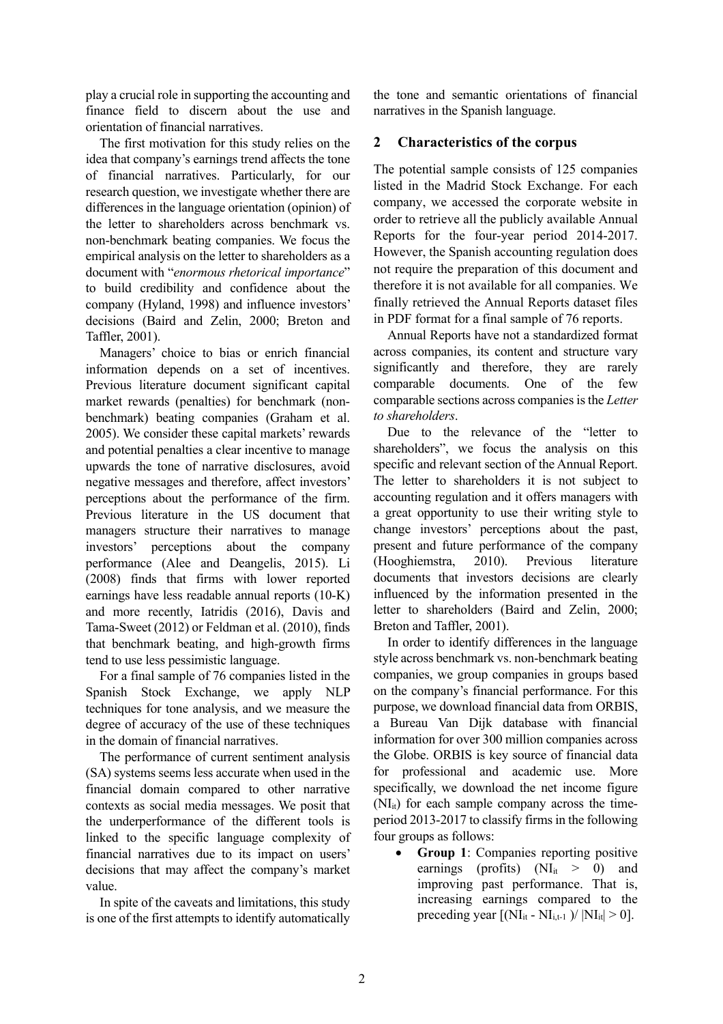play a crucial role in supporting the accounting and finance field to discern about the use and orientation of financial narratives.

The first motivation for this study relies on the idea that company's earnings trend affects the tone of financial narratives. Particularly, for our research question, we investigate whether there are differences in the language orientation (opinion) of the letter to shareholders across benchmark vs. non-benchmark beating companies. We focus the empirical analysis on the letter to shareholders as a document with "*enormous rhetorical importance*" to build credibility and confidence about the company (Hyland, 1998) and influence investors' decisions (Baird and Zelin, 2000; Breton and Taffler, 2001).

Managers' choice to bias or enrich financial information depends on a set of incentives. Previous literature document significant capital market rewards (penalties) for benchmark (nonbenchmark) beating companies (Graham et al. 2005). We consider these capital markets' rewards and potential penalties a clear incentive to manage upwards the tone of narrative disclosures, avoid negative messages and therefore, affect investors' perceptions about the performance of the firm. Previous literature in the US document that managers structure their narratives to manage investors' perceptions about the company performance (Alee and Deangelis, 2015). Li (2008) finds that firms with lower reported earnings have less readable annual reports (10-K) and more recently, Iatridis (2016), Davis and Tama-Sweet (2012) or Feldman et al. (2010), finds that benchmark beating, and high-growth firms tend to use less pessimistic language.

For a final sample of 76 companies listed in the Spanish Stock Exchange, we apply NLP techniques for tone analysis, and we measure the degree of accuracy of the use of these techniques in the domain of financial narratives.

The performance of current sentiment analysis (SA) systems seems less accurate when used in the financial domain compared to other narrative contexts as social media messages. We posit that the underperformance of the different tools is linked to the specific language complexity of financial narratives due to its impact on users' decisions that may affect the company's market value.

In spite of the caveats and limitations, this study is one of the first attempts to identify automatically the tone and semantic orientations of financial narratives in the Spanish language.

## **2 Characteristics of the corpus**

The potential sample consists of 125 companies listed in the Madrid Stock Exchange. For each company, we accessed the corporate website in order to retrieve all the publicly available Annual Reports for the four-year period 2014-2017. However, the Spanish accounting regulation does not require the preparation of this document and therefore it is not available for all companies. We finally retrieved the Annual Reports dataset files in PDF format for a final sample of 76 reports.

Annual Reports have not a standardized format across companies, its content and structure vary significantly and therefore, they are rarely comparable documents. One of the few comparable sections across companies is the *Letter to shareholders*.

Due to the relevance of the "letter to shareholders", we focus the analysis on this specific and relevant section of the Annual Report. The letter to shareholders it is not subject to accounting regulation and it offers managers with a great opportunity to use their writing style to change investors' perceptions about the past, present and future performance of the company (Hooghiemstra, 2010). Previous literature documents that investors decisions are clearly influenced by the information presented in the letter to shareholders (Baird and Zelin, 2000; Breton and Taffler, 2001).

In order to identify differences in the language style across benchmark vs. non-benchmark beating companies, we group companies in groups based on the company's financial performance. For this purpose, we download financial data from ORBIS, a Bureau Van Dijk database with financial information for over 300 million companies across the Globe. ORBIS is key source of financial data for professional and academic use. More specifically, we download the net income figure  $(NI_{it})$  for each sample company across the timeperiod 2013-2017 to classify firms in the following four groups as follows:

• **Group 1**: Companies reporting positive earnings (profits)  $(NI_{it} > 0)$  and improving past performance. That is, increasing earnings compared to the preceding year  $[(\text{NI}_{it} - \text{NI}_{i,t-1})/|\text{NI}_{it}| > 0].$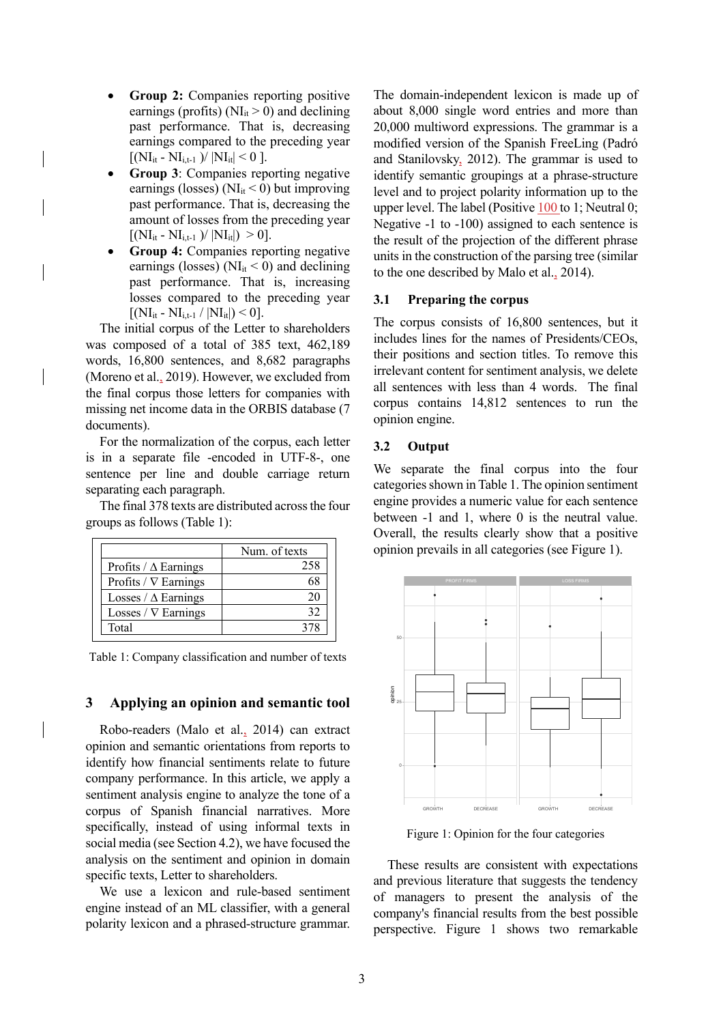- **Group 2:** Companies reporting positive earnings (profits) ( $NI<sub>it</sub> > 0$ ) and declining past performance. That is, decreasing earnings compared to the preceding year  $[(NI_{it} - NI_{i,t-1})/ |NI_{it}| < 0].$
- **Group 3**: Companies reporting negative earnings (losses) ( $NI<sub>it</sub> < 0$ ) but improving past performance. That is, decreasing the amount of losses from the preceding year  $[(NI_{it} - NI_{i,t-1})/ |NI_{it}|) > 0].$
- **Group 4:** Companies reporting negative earnings (losses) ( $NI_{it} < 0$ ) and declining past performance. That is, increasing losses compared to the preceding year  $[(NI_{it} - NI_{i,t-1} / |NI_{it}|)$  < 0].

The initial corpus of the Letter to shareholders was composed of a total of 385 text, 462,189 words, 16,800 sentences, and 8,682 paragraphs (Moreno et al., 2019). However, we excluded from the final corpus those letters for companies with missing net income data in the ORBIS database (7 documents).

For the normalization of the corpus, each letter is in a separate file -encoded in UTF-8-, one sentence per line and double carriage return separating each paragraph.

The final 378 texts are distributed across the four groups as follows (Table 1):

|                             | Num. of texts |
|-----------------------------|---------------|
| Profits / $\Delta$ Earnings | 258           |
| Profits / $\nabla$ Earnings |               |
| Losses / $\Delta$ Earnings  |               |
| Losses / $\nabla$ Earnings  |               |
| Total                       |               |

Table 1: Company classification and number of texts

#### **3 Applying an opinion and semantic tool**

Robo-readers (Malo et al., 2014) can extract opinion and semantic orientations from reports to identify how financial sentiments relate to future company performance. In this article, we apply a sentiment analysis engine to analyze the tone of a corpus of Spanish financial narratives. More specifically, instead of using informal texts in social media (see Section 4.2), we have focused the analysis on the sentiment and opinion in domain specific texts, Letter to shareholders.

We use a lexicon and rule-based sentiment engine instead of an ML classifier, with a general polarity lexicon and a phrased-structure grammar.

The domain-independent lexicon is made up of about 8,000 single word entries and more than 20,000 multiword expressions. The grammar is a modified version of the Spanish FreeLing (Padró and Stanilovsky, 2012). The grammar is used to identify semantic groupings at a phrase-structure level and to project polarity information up to the upper level. The label (Positive 100 to 1; Neutral 0; Negative -1 to -100) assigned to each sentence is the result of the projection of the different phrase units in the construction of the parsing tree (similar to the one described by Malo et al., 2014).

#### **3.1 Preparing the corpus**

The corpus consists of 16,800 sentences, but it includes lines for the names of Presidents/CEOs, their positions and section titles. To remove this irrelevant content for sentiment analysis, we delete all sentences with less than 4 words. The final corpus contains 14,812 sentences to run the opinion engine.

#### **3.2 Output**

We separate the final corpus into the four categories shown in Table 1. The opinion sentiment engine provides a numeric value for each sentence between -1 and 1, where 0 is the neutral value. Overall, the results clearly show that a positive opinion prevails in all categories (see Figure 1).



Figure 1: Opinion for the four categories

These results are consistent with expectations and previous literature that suggests the tendency of managers to present the analysis of the company's financial results from the best possible perspective. Figure 1 shows two remarkable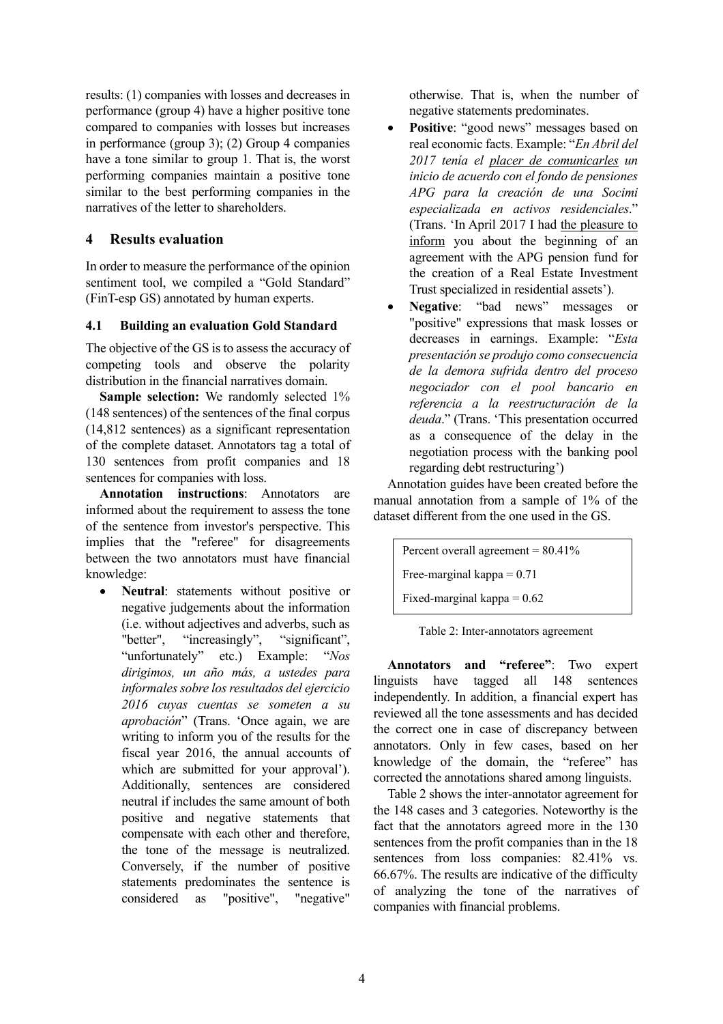results: (1) companies with losses and decreases in performance (group 4) have a higher positive tone compared to companies with losses but increases in performance (group 3); (2) Group 4 companies have a tone similar to group 1. That is, the worst performing companies maintain a positive tone similar to the best performing companies in the narratives of the letter to shareholders.

### **4 Results evaluation**

In order to measure the performance of the opinion sentiment tool, we compiled a "Gold Standard" (FinT-esp GS) annotated by human experts.

### **4.1 Building an evaluation Gold Standard**

The objective of the GS is to assess the accuracy of competing tools and observe the polarity distribution in the financial narratives domain.

**Sample selection:** We randomly selected 1% (148 sentences) of the sentences of the final corpus (14,812 sentences) as a significant representation of the complete dataset. Annotators tag a total of 130 sentences from profit companies and 18 sentences for companies with loss.

**Annotation instructions**: Annotators are informed about the requirement to assess the tone of the sentence from investor's perspective. This implies that the "referee" for disagreements between the two annotators must have financial knowledge:

• **Neutral**: statements without positive or negative judgements about the information (i.e. without adjectives and adverbs, such as "better", "increasingly", "significant", "unfortunately" etc.) Example: "*Nos dirigimos, un año más, a ustedes para informales sobre los resultados del ejercicio 2016 cuyas cuentas se someten a su aprobación*" (Trans. 'Once again, we are writing to inform you of the results for the fiscal year 2016, the annual accounts of which are submitted for your approval'). Additionally, sentences are considered neutral if includes the same amount of both positive and negative statements that compensate with each other and therefore, the tone of the message is neutralized. Conversely, if the number of positive statements predominates the sentence is considered as "positive", "negative"

otherwise. That is, when the number of negative statements predominates.

- Positive: "good news" messages based on real economic facts. Example: "*En Abril del 2017 tenía el placer de comunicarles un inicio de acuerdo con el fondo de pensiones APG para la creación de una Socimi especializada en activos residenciales*." (Trans. 'In April 2017 I had the pleasure to inform you about the beginning of an agreement with the APG pension fund for the creation of a Real Estate Investment Trust specialized in residential assets').
- **Negative**: "bad news" messages or "positive" expressions that mask losses or decreases in earnings. Example: "*Esta presentación se produjo como consecuencia de la demora sufrida dentro del proceso negociador con el pool bancario en referencia a la reestructuración de la deuda*." (Trans. 'This presentation occurred as a consequence of the delay in the negotiation process with the banking pool regarding debt restructuring')

Annotation guides have been created before the manual annotation from a sample of 1% of the dataset different from the one used in the GS.

Percent overall agreement  $= 80.41\%$ Free-marginal kappa  $= 0.71$ Fixed-marginal kappa  $= 0.62$ 

| Table 2: Inter-annotators agreement |
|-------------------------------------|
|-------------------------------------|

**Annotators and "referee"**: Two expert linguists have tagged all 148 sentences independently. In addition, a financial expert has reviewed all the tone assessments and has decided the correct one in case of discrepancy between annotators. Only in few cases, based on her knowledge of the domain, the "referee" has corrected the annotations shared among linguists.

Table 2 shows the inter-annotator agreement for the 148 cases and 3 categories. Noteworthy is the fact that the annotators agreed more in the 130 sentences from the profit companies than in the 18 sentences from loss companies: 82.41% vs. 66.67%. The results are indicative of the difficulty of analyzing the tone of the narratives of companies with financial problems.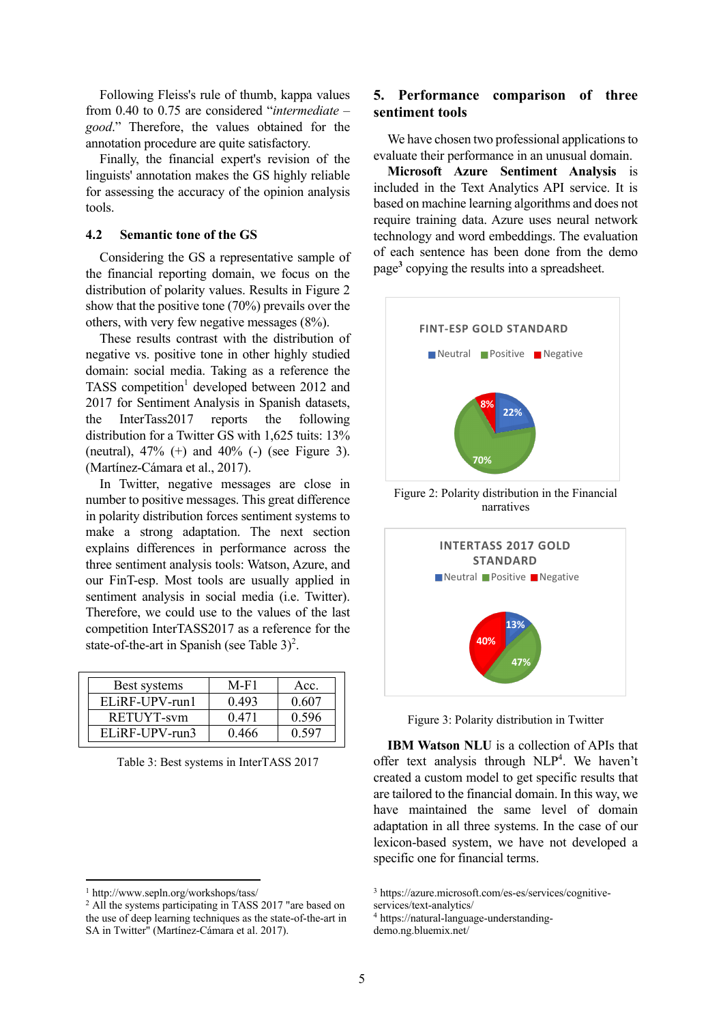Following Fleiss's rule of thumb, kappa values from 0.40 to 0.75 are considered "*intermediate* – *good*." Therefore, the values obtained for the annotation procedure are quite satisfactory.

Finally, the financial expert's revision of the linguists' annotation makes the GS highly reliable for assessing the accuracy of the opinion analysis tools.

#### **4.2 Semantic tone of the GS**

Considering the GS a representative sample of the financial reporting domain, we focus on the distribution of polarity values. Results in Figure 2 show that the positive tone (70%) prevails over the others, with very few negative messages (8%).

These results contrast with the distribution of negative vs. positive tone in other highly studied domain: social media. Taking as a reference the TASS competition<sup>1</sup> developed between 2012 and 2017 for Sentiment Analysis in Spanish datasets, the InterTass2017 reports the following distribution for a Twitter GS with 1,625 tuits: 13% (neutral),  $47\%$  (+) and  $40\%$  (-) (see Figure 3). (Martínez-Cámara et al., 2017).

In Twitter, negative messages are close in number to positive messages. This great difference in polarity distribution forces sentiment systems to make a strong adaptation. The next section explains differences in performance across the three sentiment analysis tools: Watson, Azure, and our FinT-esp. Most tools are usually applied in sentiment analysis in social media (i.e. Twitter). Therefore, we could use to the values of the last competition InterTASS2017 as a reference for the state-of-the-art in Spanish (see Table  $3)^2$ .

| Best systems     | M-F1  | Acc.  |
|------------------|-------|-------|
| $ELiRF-UPV-run1$ | 0.493 | 0.607 |
| RETUYT-sym       | 0.471 | 0.596 |
| $ELiRF-UPV-run3$ | በ 466 |       |

Table 3: Best systems in InterTASS 2017

### **5. Performance comparison of three sentiment tools**

We have chosen two professional applications to evaluate their performance in an unusual domain.

**Microsoft Azure Sentiment Analysis** is included in the Text Analytics API service. It is based on machine learning algorithms and does not require training data. Azure uses neural network technology and word embeddings. The evaluation of each sentence has been done from the demo page**<sup>3</sup>** copying the results into a spreadsheet.



Figure 2: Polarity distribution in the Financial narratives



Figure 3: Polarity distribution in Twitter

**IBM Watson NLU** is a collection of APIs that offer text analysis through NLP<sup>4</sup>. We haven't created a custom model to get specific results that are tailored to the financial domain. In this way, we have maintained the same level of domain adaptation in all three systems. In the case of our lexicon-based system, we have not developed a specific one for financial terms.

<sup>1</sup> http://www.sepln.org/workshops/tass/

<sup>&</sup>lt;sup>2</sup> All the systems participating in TASS 2017 "are based on the use of deep learning techniques as the state-of-the-art in SA in Twitter" (Martínez-Cámara et al. 2017).

<sup>3</sup> https://azure.microsoft.com/es-es/services/cognitive-

services/text-analytics/

<sup>4</sup> https://natural-language-understanding-

demo.ng.bluemix.net/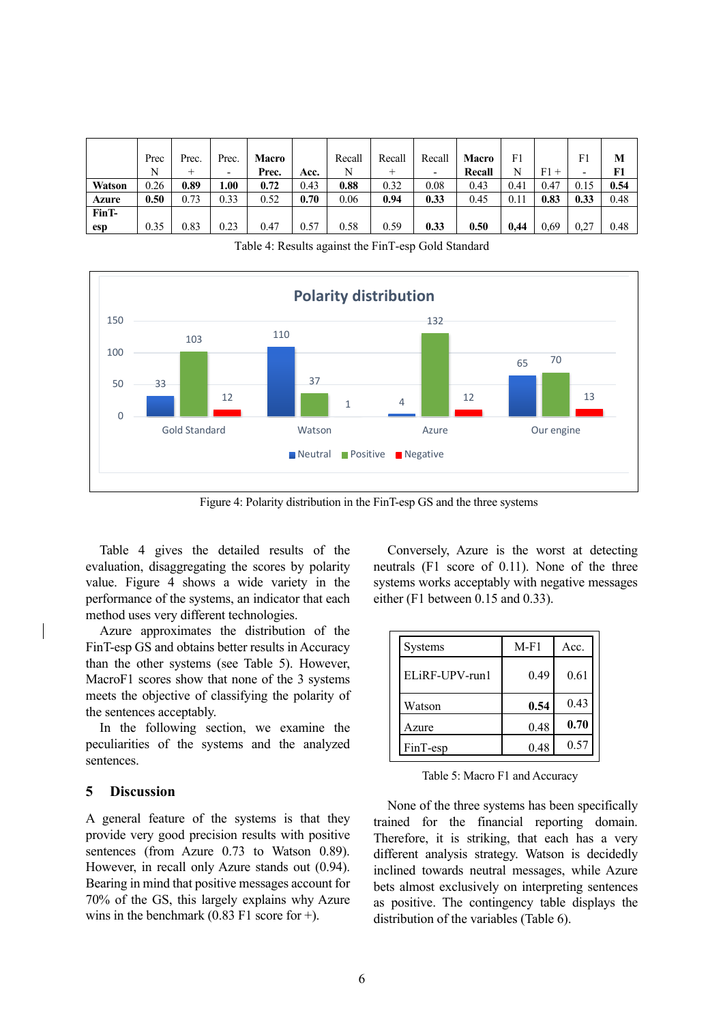|               | Prec | Prec. | Prec. | <b>Macro</b> |      | Recall | Recall | Recall | <b>Macro</b> | F1   |              | F1   | M    |
|---------------|------|-------|-------|--------------|------|--------|--------|--------|--------------|------|--------------|------|------|
|               | N    | $^+$  | -     | Prec.        | Acc. | N      | $^+$   | ٠      | Recall       | N    | F1<br>$^{+}$ | ۰    | F1   |
| <b>Watson</b> | 0.26 | 0.89  | .00.  | 0.72         | 0.43 | 0.88   | 0.32   | 0.08   | 0.43         | 0.41 | 0.47         | 0.15 | 0.54 |
| Azure         | 0.50 | 0.73  | 0.33  | 0.52         | 0.70 | 0.06   | 0.94   | 0.33   | 0.45         | 0.11 | 0.83         | 0.33 | 0.48 |
| FinT-         |      |       |       |              |      |        |        |        |              |      |              |      |      |
| esp           | 0.35 | 0.83  | 0.23  | 0.47         | 0.57 | 0.58   | 0.59   | 0.33   | 0.50         | 0,44 | 0.69         | 0,27 | 0.48 |

Table 4: Results against the FinT-esp Gold Standard



Figure 4: Polarity distribution in the FinT-esp GS and the three systems

Table 4 gives the detailed results of the evaluation, disaggregating the scores by polarity value. Figure 4 shows a wide variety in the performance of the systems, an indicator that each method uses very different technologies.

Azure approximates the distribution of the FinT-esp GS and obtains better results in Accuracy than the other systems (see Table 5). However, MacroF1 scores show that none of the 3 systems meets the objective of classifying the polarity of the sentences acceptably.

In the following section, we examine the peculiarities of the systems and the analyzed sentences.

### **5 Discussion**

A general feature of the systems is that they provide very good precision results with positive sentences (from Azure 0.73 to Watson 0.89). However, in recall only Azure stands out (0.94). Bearing in mind that positive messages account for 70% of the GS, this largely explains why Azure wins in the benchmark  $(0.83 \text{ F1} \text{ score for +}).$ 

Conversely, Azure is the worst at detecting neutrals (F1 score of 0.11). None of the three systems works acceptably with negative messages either (F1 between 0.15 and 0.33).

| <b>Systems</b> | $M-F1$ | Acc. |
|----------------|--------|------|
| ELiRE-UPV-run1 | 0.49   | 0.61 |
| Watson         | 0.54   | 0.43 |
| Azure          | 0.48   | 0.70 |
| FinT-esp       | 0.48   | 0.57 |

Table 5: Macro F1 and Accuracy

None of the three systems has been specifically trained for the financial reporting domain. Therefore, it is striking, that each has a very different analysis strategy. Watson is decidedly inclined towards neutral messages, while Azure bets almost exclusively on interpreting sentences as positive. The contingency table displays the distribution of the variables (Table 6).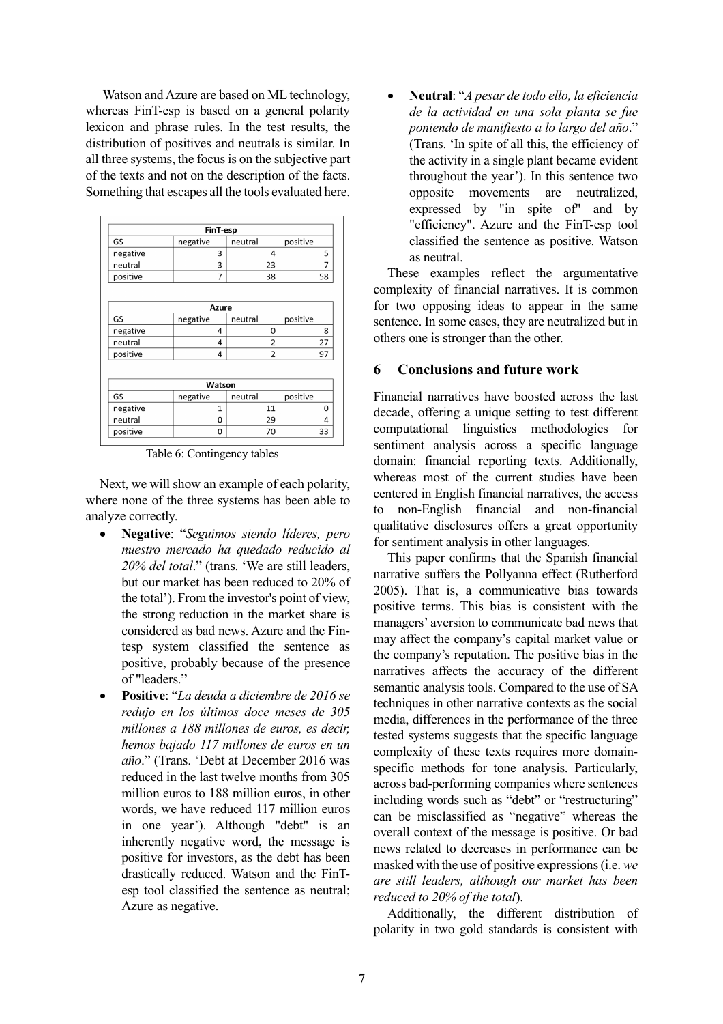Watson and Azure are based on ML technology, whereas FinT-esp is based on a general polarity lexicon and phrase rules. In the test results, the distribution of positives and neutrals is similar. In all three systems, the focus is on the subjective part of the texts and not on the description of the facts. Something that escapes all the tools evaluated here.

|          | FinT-esp       |                |          |  |  |
|----------|----------------|----------------|----------|--|--|
| GS       | negative       | neutral        | positive |  |  |
| negative | 3              | 4              |          |  |  |
| neutral  | 3              | 23             |          |  |  |
| positive | 7              | 58<br>38       |          |  |  |
|          | Azure          |                |          |  |  |
| GS       | negative       | neutral        | positive |  |  |
| negative | 4              | 0              | 8        |  |  |
| neutral  | 4              | $\overline{2}$ |          |  |  |
| positive | 4              | $\overline{2}$ | 97       |  |  |
|          | Watson         |                |          |  |  |
| GS       | negative       | neutral        | positive |  |  |
| negative | $\overline{1}$ | 11             |          |  |  |
| neutral  | $\Omega$       | 29             | 4        |  |  |
| positive |                | 70<br>33<br>0  |          |  |  |

Table 6: Contingency tables

Next, we will show an example of each polarity, where none of the three systems has been able to analyze correctly.

- **Negative**: "*Seguimos siendo líderes, pero nuestro mercado ha quedado reducido al 20% del total*." (trans. 'We are still leaders, but our market has been reduced to 20% of the total'). From the investor's point of view, the strong reduction in the market share is considered as bad news. Azure and the Fintesp system classified the sentence as positive, probably because of the presence of "leaders."
- **Positive**: "*La deuda a diciembre de 2016 se redujo en los últimos doce meses de 305 millones a 188 millones de euros, es decir, hemos bajado 117 millones de euros en un año*." (Trans. 'Debt at December 2016 was reduced in the last twelve months from 305 million euros to 188 million euros, in other words, we have reduced 117 million euros in one year'). Although "debt" is an inherently negative word, the message is positive for investors, as the debt has been drastically reduced. Watson and the FinTesp tool classified the sentence as neutral; Azure as negative.

• **Neutral**: "*A pesar de todo ello, la eficiencia de la actividad en una sola planta se fue poniendo de manifiesto a lo largo del año*." (Trans. 'In spite of all this, the efficiency of the activity in a single plant became evident throughout the year'). In this sentence two opposite movements are neutralized, expressed by "in spite of" and by "efficiency". Azure and the FinT-esp tool classified the sentence as positive. Watson as neutral.

These examples reflect the argumentative complexity of financial narratives. It is common for two opposing ideas to appear in the same sentence. In some cases, they are neutralized but in others one is stronger than the other.

#### **6 Conclusions and future work**

Financial narratives have boosted across the last decade, offering a unique setting to test different computational linguistics methodologies for sentiment analysis across a specific language domain: financial reporting texts. Additionally, whereas most of the current studies have been centered in English financial narratives, the access to non-English financial and non-financial qualitative disclosures offers a great opportunity for sentiment analysis in other languages.

This paper confirms that the Spanish financial narrative suffers the Pollyanna effect (Rutherford 2005). That is, a communicative bias towards positive terms. This bias is consistent with the managers' aversion to communicate bad news that may affect the company's capital market value or the company's reputation. The positive bias in the narratives affects the accuracy of the different semantic analysis tools. Compared to the use of SA techniques in other narrative contexts as the social media, differences in the performance of the three tested systems suggests that the specific language complexity of these texts requires more domainspecific methods for tone analysis. Particularly, across bad-performing companies where sentences including words such as "debt" or "restructuring" can be misclassified as "negative" whereas the overall context of the message is positive. Or bad news related to decreases in performance can be masked with the use of positive expressions (i.e. *we are still leaders, although our market has been reduced to 20% of the total*).

Additionally, the different distribution of polarity in two gold standards is consistent with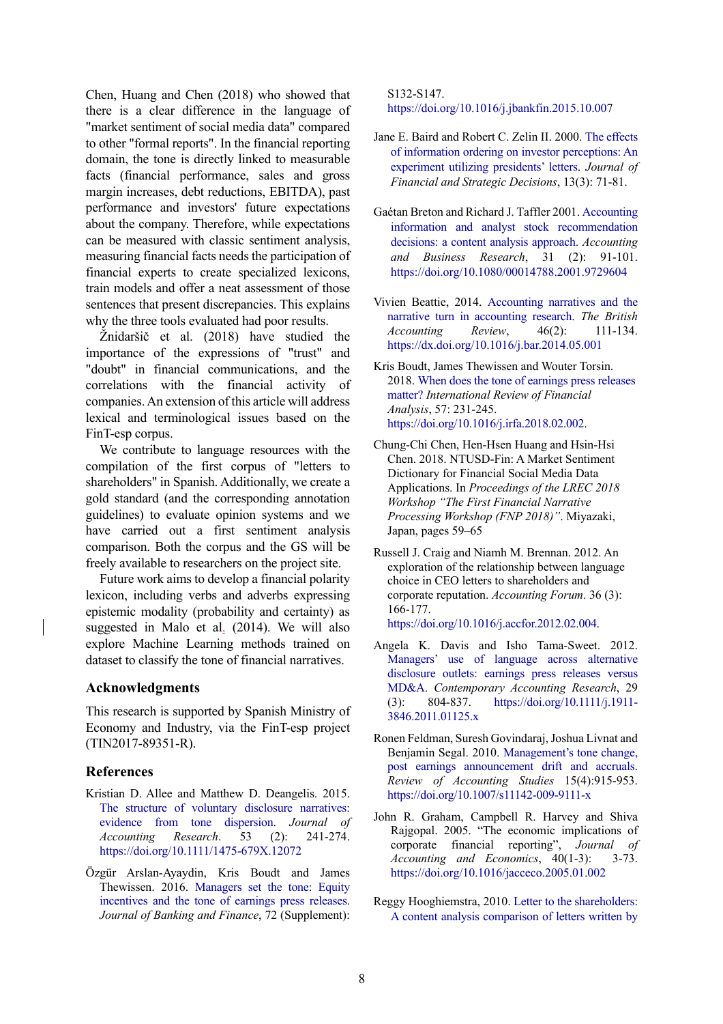Chen, Huang and Chen (2018) who showed that there is a clear difference in the language of "market sentiment of social media data" compared to other "formal reports". In the financial reporting domain, the tone is directly linked to measurable facts (financial performance, sales and gross margin increases, debt reductions, EBITDA), past performance and investors' future expectations about the company. Therefore, while expectations can be measured with classic sentiment analysis, measuring financial facts needs the participation of financial experts to create specialized lexicons, train models and offer a neat assessment of those sentences that present discrepancies. This explains why the three tools evaluated had poor results.

Žnidaršič et al. (2018) have studied the importance of the expressions of "trust" and "doubt" in financial communications, and the correlations with the financial activity of companies. An extension of this article will address lexical and terminological issues based on the FinT-esp corpus.

We contribute to language resources with the compilation of the first corpus of "letters to shareholders" in Spanish. Additionally, we create a gold standard (and the corresponding annotation guidelines) to evaluate opinion systems and we have carried out a first sentiment analysis comparison. Both the corpus and the GS will be freely available to researchers on the project site.

Future work aims to develop a financial polarity lexicon, including verbs and adverbs expressing epistemic modality (probability and certainty) as suggested in Malo et al. (2014). We will also explore Machine Learning methods trained on dataset to classify the tone of financial narratives.

### **Acknowledgments**

This research is supported by Spanish Ministry of Economy and Industry, via the FinT-esp project (TIN2017-89351-R).

#### **References**

- Kristian D. Allee and Matthew D. Deangelis. 2015. The structure of voluntary disclosure narratives: evidence from tone dispersion. *Journal of Accounting Research*. 53 (2): 241-274. https://doi.org/10.1111/1475-679X.12072
- Özgür Arslan-Ayaydin, Kris Boudt and James Thewissen. 2016. Managers set the tone: Equity incentives and the tone of earnings press releases. *Journal of Banking and Finance*, 72 (Supplement):

S132-S147. https://doi.org/10.1016/j.jbankfin.2015.10.007

- Jane E. Baird and Robert C. Zelin II. 2000. The effects of information ordering on investor perceptions: An experiment utilizing presidents' letters. *Journal of Financial and Strategic Decisions*, 13(3): 71-81.
- Gaétan Breton and Richard J. Taffler 2001. Accounting information and analyst stock recommendation decisions: a content analysis approach. *Accounting and Business Research*, 31 (2): 91-101. https://doi.org/10.1080/00014788.2001.9729604
- Vivien Beattie, 2014. Accounting narratives and the narrative turn in accounting research. *The British Accounting Review*, 46(2): 111-134. https://dx.doi.org/10.1016/j.bar.2014.05.001
- Kris Boudt, James Thewissen and Wouter Torsin. 2018. When does the tone of earnings press releases matter? *International Review of Financial Analysis*, 57: 231-245. https://doi.org/10.1016/j.irfa.2018.02.002.
- Chung-Chi Chen, Hen-Hsen Huang and Hsin-Hsi Chen. 2018. NTUSD-Fin: A Market Sentiment Dictionary for Financial Social Media Data Applications. In *Proceedings of the LREC 2018 Workshop "The First Financial Narrative Processing Workshop (FNP 2018)"*. Miyazaki, Japan, pages 59–65
- Russell J. Craig and Niamh M. Brennan. 2012. An exploration of the relationship between language choice in CEO letters to shareholders and corporate reputation. *Accounting Forum*. 36 (3): 166-177. https://doi.org/10.1016/j.accfor.2012.02.004.
- Angela K. Davis and Isho Tama-Sweet. 2012. Managers' use of language across alternative disclosure outlets: earnings press releases versus MD&A. *Contemporary Accounting Research*, 29 (3): 804-837. https://doi.org/10.1111/j.1911- 3846.2011.01125.x
- Ronen Feldman, Suresh Govindaraj, Joshua Livnat and Benjamin Segal. 2010. Management's tone change, post earnings announcement drift and accruals. *Review of Accounting Studies* 15(4):915-953. https://doi.org/10.1007/s11142-009-9111-x
- John R. Graham, Campbell R. Harvey and Shiva Rajgopal. 2005. "The economic implications of corporate financial reporting", *Journal of Accounting and Economics*, 40(1-3): 3-73. https://doi.org/10.1016/jacceco.2005.01.002
- Reggy Hooghiemstra, 2010. Letter to the shareholders: A content analysis comparison of letters written by